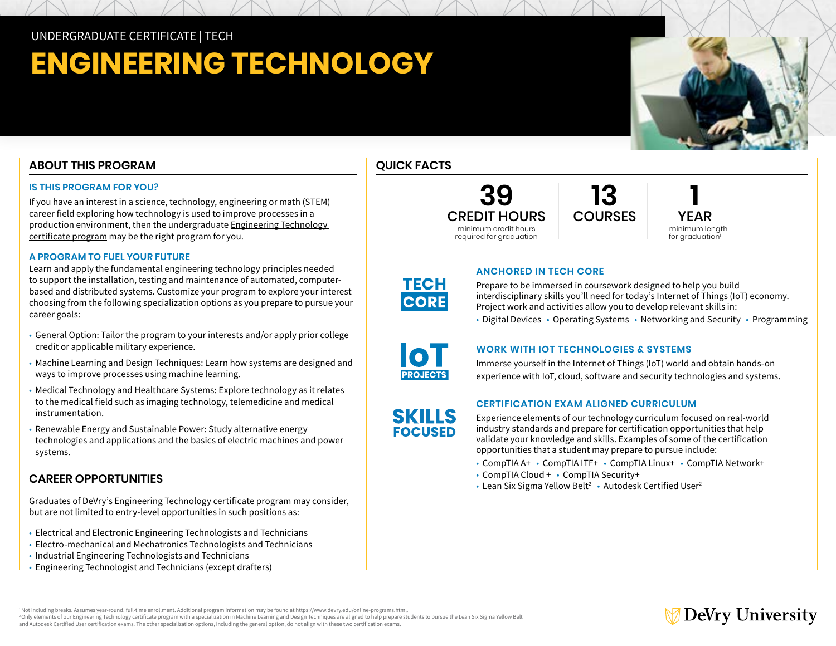UNDERGRADUATE CERTIFICATE | TECH

# **ENGINEERING TECHNOLOGY**

# **ABOUT THIS PROGRAM**

#### **IS THIS PROGRAM FOR YOU?**

If you have an interest in a science, technology, engineering or math (STEM) career field exploring how technology is used to improve processes in a production environment, then the undergraduate [Engineering Technology](https://www.devry.edu/online-programs/undergraduate-certificates/engineering-technology.html  )  [certificate program](https://www.devry.edu/online-programs/undergraduate-certificates/engineering-technology.html  ) may be the right program for you.

#### **A PROGRAM TO FUEL YOUR FUTURE**

Learn and apply the fundamental engineering technology principles needed to support the installation, testing and maintenance of automated, computerbased and distributed systems. Customize your program to explore your interest choosing from the following specialization options as you prepare to pursue your career goals:

- General Option: Tailor the program to your interests and/or apply prior college credit or applicable military experience.
- Machine Learning and Design Techniques: Learn how systems are designed and ways to improve processes using machine learning.
- Medical Technology and Healthcare Systems: Explore technology as it relates to the medical field such as imaging technology, telemedicine and medical instrumentation.
- Renewable Energy and Sustainable Power: Study alternative energy technologies and applications and the basics of electric machines and power systems.

### **CAREER OPPORTUNITIES**

Graduates of DeVry's Engineering Technology certificate program may consider, but are not limited to entry-level opportunities in such positions as:

- Electrical and Electronic Engineering Technologists and Technicians
- Electro-mechanical and Mechatronics Technologists and Technicians
- Industrial Engineering Technologists and Technicians
- Engineering Technologist and Technicians (except drafters)

## **QUICK FACTS**



**1** YEAR minimum length for graduation<sup>1</sup>

DeVry University



# **ANCHORED IN TECH CORE**

Prepare to be immersed in coursework designed to help you build interdisciplinary skills you'll need for today's Internet of Things (IoT) economy. Project work and activities allow you to develop relevant skills in:

**13**

• Digital Devices • Operating Systems • Networking and Security • Programming



**SKILLS FOCUSED** 

#### **WORK WITH IOT TECHNOLOGIES & SYSTEMS**

Immerse yourself in the Internet of Things (IoT) world and obtain hands-on experience with IoT, cloud, software and security technologies and systems.

#### **CERTIFICATION EXAM ALIGNED CURRICULUM**

Experience elements of our technology curriculum focused on real-world industry standards and prepare for certification opportunities that help validate your knowledge and skills. Examples of some of the certification opportunities that a student may prepare to pursue include:

- CompTIA A+ CompTIA ITF+ CompTIA Linux+ CompTIA Network+
- CompTIA Cloud + CompTIA Security+
- Lean Six Sigma Yellow Belt<sup>2</sup> Autodesk Certified User<sup>2</sup>



<sup>&</sup>lt;sup>1</sup> Not including breaks. Assumes year-round, full-time enrollment. Additional program information may be found at<https://www.devry.edu/online-programs.html> <sup>2</sup>Only elements of our Engineering Technology certificate program with a specialization in Machine Learning and Design Techniques are aligned to help prepare students to pursue the Lean Six Sigma Yellow Belt and Autodesk Certified User certification exams. The other specialization options, including the general option, do not align with these two certification exams.